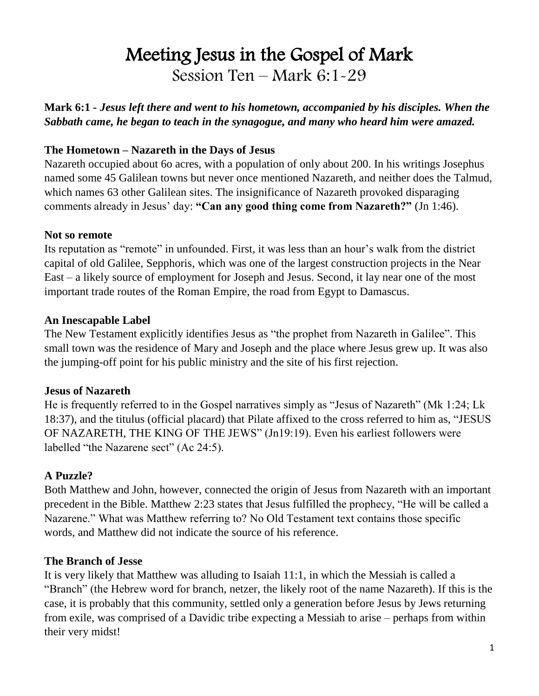# Meeting Jesus in the Gospel of Mark Session Ten – Mark 6:1-29

**Mark 6:1** *- Jesus left there and went to his hometown, accompanied by his disciples. When the Sabbath came, he began to teach in the synagogue, and many who heard him were amazed.*

## **The Hometown – Nazareth in the Days of Jesus**

Nazareth occupied about 6o acres, with a population of only about 200. In his writings Josephus named some 45 Galilean towns but never once mentioned Nazareth, and neither does the Talmud, which names 63 other Galilean sites. The insignificance of Nazareth provoked disparaging comments already in Jesus' day: **"Can any good thing come from Nazareth?"** (Jn 1:46).

#### **Not so remote**

Its reputation as "remote" in unfounded. First, it was less than an hour's walk from the district capital of old Galilee, Sepphoris, which was one of the largest construction projects in the Near East – a likely source of employment for Joseph and Jesus. Second, it lay near one of the most important trade routes of the Roman Empire, the road from Egypt to Damascus.

#### **An Inescapable Label**

The New Testament explicitly identifies Jesus as "the prophet from Nazareth in Galilee". This small town was the residence of Mary and Joseph and the place where Jesus grew up. It was also the jumping-off point for his public ministry and the site of his first rejection.

#### **Jesus of Nazareth**

He is frequently referred to in the Gospel narratives simply as "Jesus of Nazareth" (Mk 1:24; Lk 18:37), and the titulus (official placard) that Pilate affixed to the cross referred to him as, "JESUS OF NAZARETH, THE KING OF THE JEWS" (Jn19:19). Even his earliest followers were labelled "the Nazarene sect" (Ac 24:5).

## **A Puzzle?**

Both Matthew and John, however, connected the origin of Jesus from Nazareth with an important precedent in the Bible. Matthew 2:23 states that Jesus fulfilled the prophecy, "He will be called a Nazarene." What was Matthew referring to? No Old Testament text contains those specific words, and Matthew did not indicate the source of his reference.

#### **The Branch of Jesse**

It is very likely that Matthew was alluding to Isaiah 11:1, in which the Messiah is called a "Branch" (the Hebrew word for branch, netzer, the likely root of the name Nazareth). If this is the case, it is probably that this community, settled only a generation before Jesus by Jews returning from exile, was comprised of a Davidic tribe expecting a Messiah to arise – perhaps from within their very midst!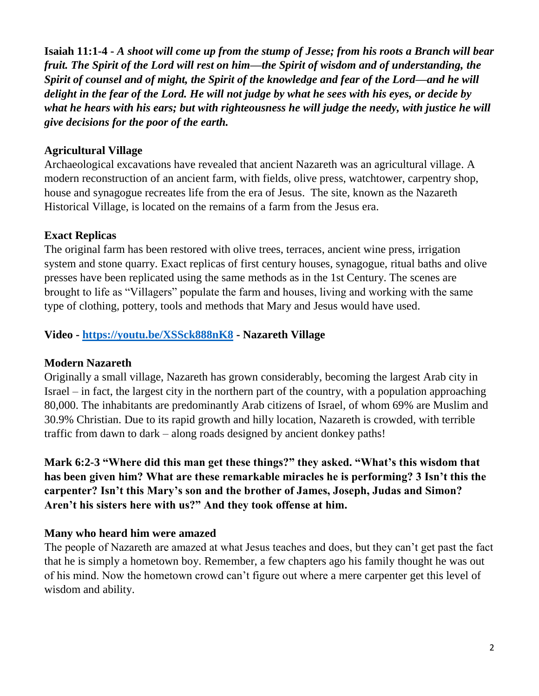**Isaiah 11:1-4 -** *A shoot will come up from the stump of Jesse; from his roots a Branch will bear fruit. The Spirit of the Lord will rest on him—the Spirit of wisdom and of understanding, the Spirit of counsel and of might, the Spirit of the knowledge and fear of the Lord—and he will delight in the fear of the Lord. He will not judge by what he sees with his eyes, or decide by what he hears with his ears; but with righteousness he will judge the needy, with justice he will give decisions for the poor of the earth.*

#### **Agricultural Village**

Archaeological excavations have revealed that ancient Nazareth was an agricultural village. A modern reconstruction of an ancient farm, with fields, olive press, watchtower, carpentry shop, house and synagogue recreates life from the era of Jesus. The site, known as the Nazareth Historical Village, is located on the remains of a farm from the Jesus era.

#### **Exact Replicas**

The original farm has been restored with olive trees, terraces, ancient wine press, irrigation system and stone quarry. Exact replicas of first century houses, synagogue, ritual baths and olive presses have been replicated using the same methods as in the 1st Century. The scenes are brought to life as "Villagers" populate the farm and houses, living and working with the same type of clothing, pottery, tools and methods that Mary and Jesus would have used.

## **Video - <https://youtu.be/XSSck888nK8> - Nazareth Village**

#### **Modern Nazareth**

Originally a small village, Nazareth has grown considerably, becoming the largest Arab city in Israel – in fact, the largest city in the northern part of the country, with a population approaching 80,000. The inhabitants are predominantly Arab citizens of Israel, of whom 69% are Muslim and 30.9% Christian. Due to its rapid growth and hilly location, Nazareth is crowded, with terrible traffic from dawn to dark – along roads designed by ancient donkey paths!

**Mark 6:2-3 "Where did this man get these things?" they asked. "What's this wisdom that has been given him? What are these remarkable miracles he is performing? 3 Isn't this the carpenter? Isn't this Mary's son and the brother of James, Joseph, Judas and Simon? Aren't his sisters here with us?" And they took offense at him.**

## **Many who heard him were amazed**

The people of Nazareth are amazed at what Jesus teaches and does, but they can't get past the fact that he is simply a hometown boy. Remember, a few chapters ago his family thought he was out of his mind. Now the hometown crowd can't figure out where a mere carpenter get this level of wisdom and ability.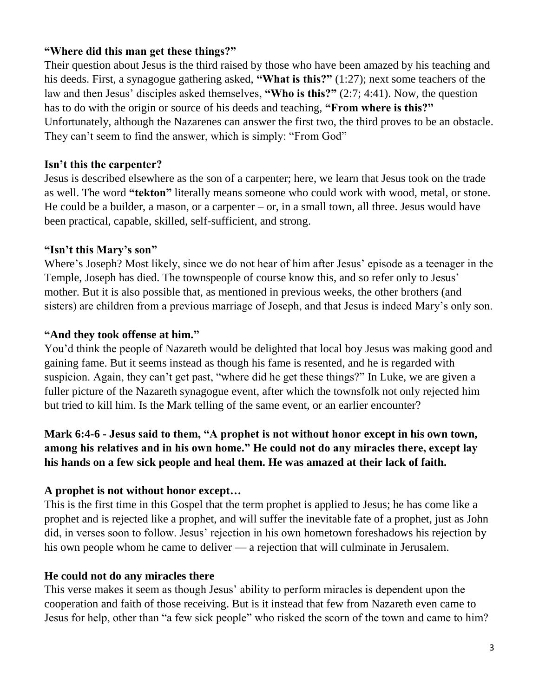#### **"Where did this man get these things?"**

Their question about Jesus is the third raised by those who have been amazed by his teaching and his deeds. First, a synagogue gathering asked, **"What is this?"** (1:27); next some teachers of the law and then Jesus' disciples asked themselves, **"Who is this?"** (2:7; 4:41). Now, the question has to do with the origin or source of his deeds and teaching, **"From where is this?"** Unfortunately, although the Nazarenes can answer the first two, the third proves to be an obstacle. They can't seem to find the answer, which is simply: "From God"

#### **Isn't this the carpenter?**

Jesus is described elsewhere as the son of a carpenter; here, we learn that Jesus took on the trade as well. The word **"tekton"** literally means someone who could work with wood, metal, or stone. He could be a builder, a mason, or a carpenter  $-$  or, in a small town, all three. Jesus would have been practical, capable, skilled, self-sufficient, and strong.

#### **"Isn't this Mary's son"**

Where's Joseph? Most likely, since we do not hear of him after Jesus' episode as a teenager in the Temple, Joseph has died. The townspeople of course know this, and so refer only to Jesus' mother. But it is also possible that, as mentioned in previous weeks, the other brothers (and sisters) are children from a previous marriage of Joseph, and that Jesus is indeed Mary's only son.

#### **"And they took offense at him."**

You'd think the people of Nazareth would be delighted that local boy Jesus was making good and gaining fame. But it seems instead as though his fame is resented, and he is regarded with suspicion. Again, they can't get past, "where did he get these things?" In Luke, we are given a fuller picture of the Nazareth synagogue event, after which the townsfolk not only rejected him but tried to kill him. Is the Mark telling of the same event, or an earlier encounter?

# **Mark 6:4-6 - Jesus said to them, "A prophet is not without honor except in his own town, among his relatives and in his own home." He could not do any miracles there, except lay his hands on a few sick people and heal them. He was amazed at their lack of faith.**

## **A prophet is not without honor except…**

This is the first time in this Gospel that the term prophet is applied to Jesus; he has come like a prophet and is rejected like a prophet, and will suffer the inevitable fate of a prophet, just as John did, in verses soon to follow. Jesus' rejection in his own hometown foreshadows his rejection by his own people whom he came to deliver — a rejection that will culminate in Jerusalem.

## **He could not do any miracles there**

This verse makes it seem as though Jesus' ability to perform miracles is dependent upon the cooperation and faith of those receiving. But is it instead that few from Nazareth even came to Jesus for help, other than "a few sick people" who risked the scorn of the town and came to him?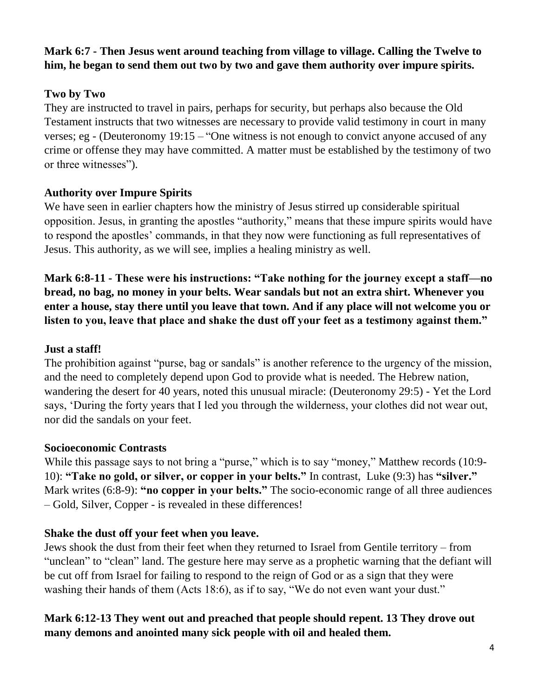# **Mark 6:7 - Then Jesus went around teaching from village to village. Calling the Twelve to him, he began to send them out two by two and gave them authority over impure spirits.**

## **Two by Two**

They are instructed to travel in pairs, perhaps for security, but perhaps also because the Old Testament instructs that two witnesses are necessary to provide valid testimony in court in many verses; eg - (Deuteronomy  $19:15 -$  "One witness is not enough to convict anyone accused of any crime or offense they may have committed. A matter must be established by the testimony of two or three witnesses").

## **Authority over Impure Spirits**

We have seen in earlier chapters how the ministry of Jesus stirred up considerable spiritual opposition. Jesus, in granting the apostles "authority," means that these impure spirits would have to respond the apostles' commands, in that they now were functioning as full representatives of Jesus. This authority, as we will see, implies a healing ministry as well.

**Mark 6:8-11 - These were his instructions: "Take nothing for the journey except a staff—no bread, no bag, no money in your belts. Wear sandals but not an extra shirt. Whenever you enter a house, stay there until you leave that town. And if any place will not welcome you or listen to you, leave that place and shake the dust off your feet as a testimony against them."**

## **Just a staff!**

The prohibition against "purse, bag or sandals" is another reference to the urgency of the mission, and the need to completely depend upon God to provide what is needed. The Hebrew nation, wandering the desert for 40 years, noted this unusual miracle: (Deuteronomy 29:5) - Yet the Lord says, 'During the forty years that I led you through the wilderness, your clothes did not wear out, nor did the sandals on your feet.

## **Socioeconomic Contrasts**

While this passage says to not bring a "purse," which is to say "money," Matthew records (10:9-10): **"Take no gold, or silver, or copper in your belts."** In contrast, Luke (9:3) has **"silver."** Mark writes (6:8-9): **"no copper in your belts."** The socio-economic range of all three audiences – Gold, Silver, Copper - is revealed in these differences!

## **Shake the dust off your feet when you leave.**

Jews shook the dust from their feet when they returned to Israel from Gentile territory – from "unclean" to "clean" land. The gesture here may serve as a prophetic warning that the defiant will be cut off from Israel for failing to respond to the reign of God or as a sign that they were washing their hands of them (Acts 18:6), as if to say, "We do not even want your dust."

# **Mark 6:12-13 They went out and preached that people should repent. 13 They drove out many demons and anointed many sick people with oil and healed them.**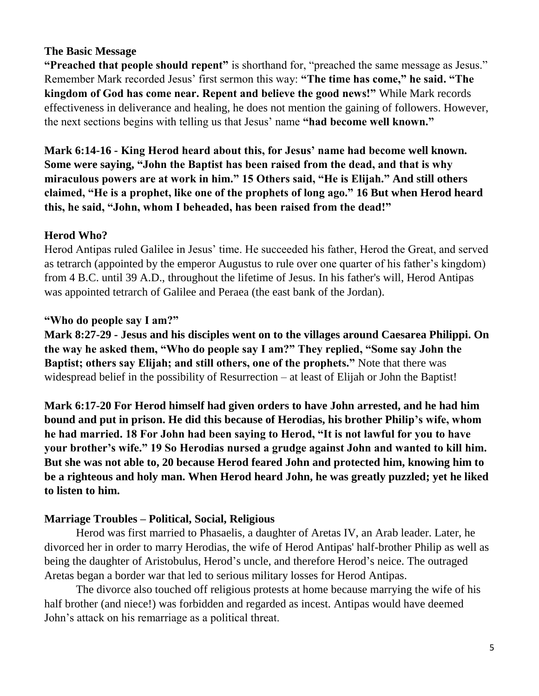#### **The Basic Message**

**"Preached that people should repent"** is shorthand for, "preached the same message as Jesus." Remember Mark recorded Jesus' first sermon this way: **"The time has come," he said. "The kingdom of God has come near. Repent and believe the good news!"** While Mark records effectiveness in deliverance and healing, he does not mention the gaining of followers. However, the next sections begins with telling us that Jesus' name **"had become well known."**

**Mark 6:14-16 - King Herod heard about this, for Jesus' name had become well known. Some were saying, "John the Baptist has been raised from the dead, and that is why miraculous powers are at work in him." 15 Others said, "He is Elijah." And still others claimed, "He is a prophet, like one of the prophets of long ago." 16 But when Herod heard this, he said, "John, whom I beheaded, has been raised from the dead!"**

#### **Herod Who?**

Herod Antipas ruled Galilee in Jesus' time. He succeeded his father, Herod the Great, and served as tetrarch (appointed by the emperor Augustus to rule over one quarter of his father's kingdom) from 4 B.C. until 39 A.D., throughout the lifetime of Jesus. In his father's will, Herod Antipas was appointed tetrarch of Galilee and Peraea (the east bank of the Jordan).

#### **"Who do people say I am?"**

**Mark 8:27-29 - Jesus and his disciples went on to the villages around Caesarea Philippi. On the way he asked them, "Who do people say I am?" They replied, "Some say John the Baptist; others say Elijah; and still others, one of the prophets."** Note that there was widespread belief in the possibility of Resurrection – at least of Elijah or John the Baptist!

**Mark 6:17-20 For Herod himself had given orders to have John arrested, and he had him bound and put in prison. He did this because of Herodias, his brother Philip's wife, whom he had married. 18 For John had been saying to Herod, "It is not lawful for you to have your brother's wife." 19 So Herodias nursed a grudge against John and wanted to kill him. But she was not able to, 20 because Herod feared John and protected him, knowing him to be a righteous and holy man. When Herod heard John, he was greatly puzzled; yet he liked to listen to him.**

#### **Marriage Troubles – Political, Social, Religious**

Herod was first married to Phasaelis, a daughter of Aretas IV, an Arab leader. Later, he divorced her in order to marry Herodias, the wife of Herod Antipas' half-brother Philip as well as being the daughter of Aristobulus, Herod's uncle, and therefore Herod's neice. The outraged Aretas began a border war that led to serious military losses for Herod Antipas.

The divorce also touched off religious protests at home because marrying the wife of his half brother (and niece!) was forbidden and regarded as incest. Antipas would have deemed John's attack on his remarriage as a political threat.